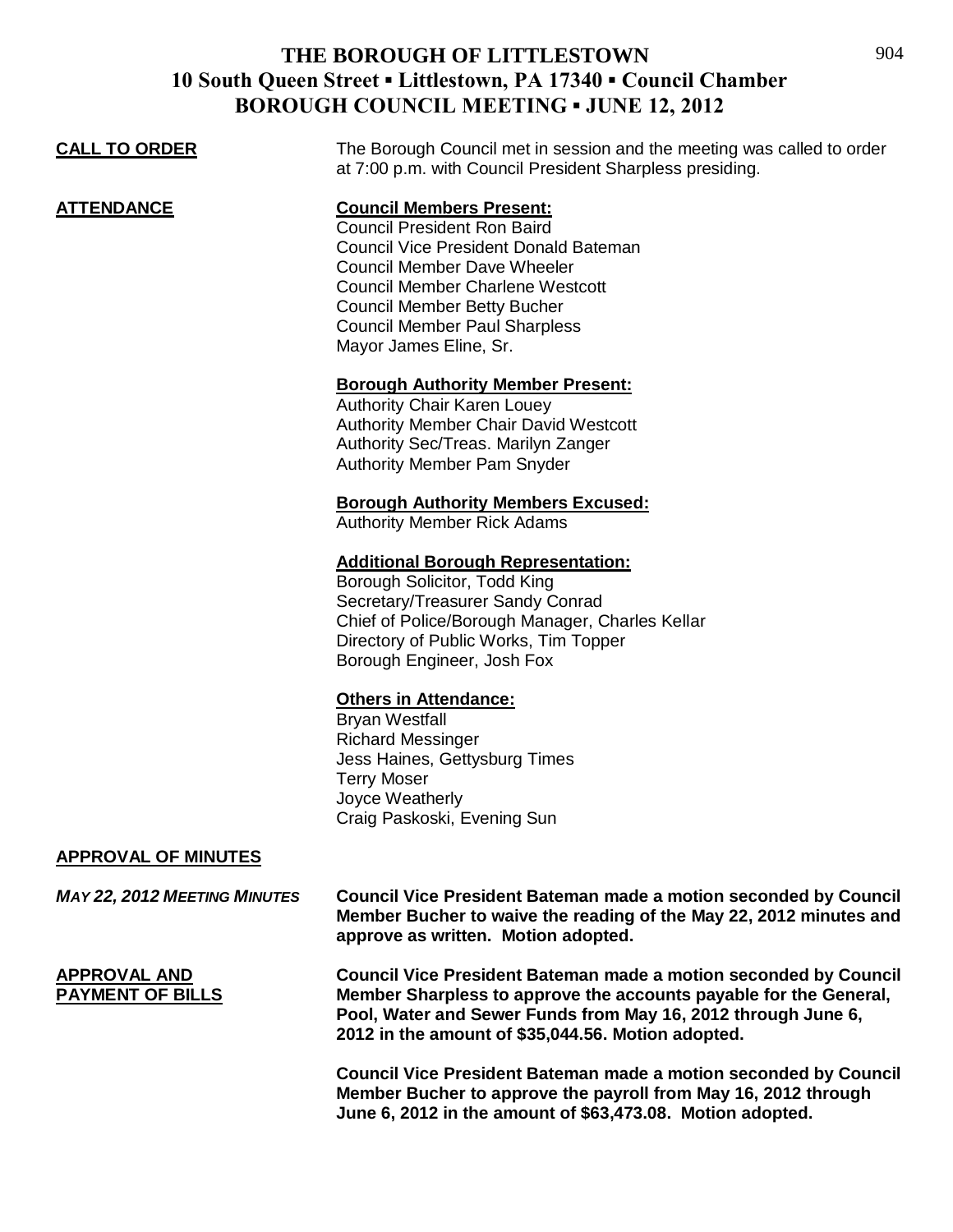| <b>CALL TO ORDER</b>                           | The Borough Council met in session and the meeting was called to order<br>at 7:00 p.m. with Council President Sharpless presiding.                                                                                                                                                                             |
|------------------------------------------------|----------------------------------------------------------------------------------------------------------------------------------------------------------------------------------------------------------------------------------------------------------------------------------------------------------------|
| <b>ATTENDANCE</b>                              | <b>Council Members Present:</b><br><b>Council President Ron Baird</b><br><b>Council Vice President Donald Bateman</b><br><b>Council Member Dave Wheeler</b><br><b>Council Member Charlene Westcott</b><br><b>Council Member Betty Bucher</b><br><b>Council Member Paul Sharpless</b><br>Mayor James Eline, Sr. |
|                                                | <b>Borough Authority Member Present:</b><br><b>Authority Chair Karen Louey</b><br><b>Authority Member Chair David Westcott</b><br>Authority Sec/Treas. Marilyn Zanger<br><b>Authority Member Pam Snyder</b>                                                                                                    |
|                                                | <b>Borough Authority Members Excused:</b><br><b>Authority Member Rick Adams</b>                                                                                                                                                                                                                                |
|                                                | <b>Additional Borough Representation:</b><br>Borough Solicitor, Todd King<br>Secretary/Treasurer Sandy Conrad<br>Chief of Police/Borough Manager, Charles Kellar<br>Directory of Public Works, Tim Topper<br>Borough Engineer, Josh Fox                                                                        |
|                                                | <b>Others in Attendance:</b><br><b>Bryan Westfall</b><br><b>Richard Messinger</b><br>Jess Haines, Gettysburg Times<br><b>Terry Moser</b><br>Joyce Weatherly<br>Craig Paskoski, Evening Sun                                                                                                                     |
| <b>APPROVAL OF MINUTES</b>                     |                                                                                                                                                                                                                                                                                                                |
| <b>MAY 22, 2012 MEETING MINUTES</b>            | <b>Council Vice President Bateman made a motion seconded by Council</b><br>Member Bucher to waive the reading of the May 22, 2012 minutes and<br>approve as written. Motion adopted.                                                                                                                           |
| <b>APPROVAL AND</b><br><b>PAYMENT OF BILLS</b> | <b>Council Vice President Bateman made a motion seconded by Council</b><br>Member Sharpless to approve the accounts payable for the General,<br>Pool, Water and Sewer Funds from May 16, 2012 through June 6,<br>2012 in the amount of \$35,044.56. Motion adopted.                                            |
|                                                | <b>Council Vice President Bateman made a motion seconded by Council</b><br>Member Bucher to approve the payroll from May 16, 2012 through<br>June 6, 2012 in the amount of \$63,473.08. Motion adopted.                                                                                                        |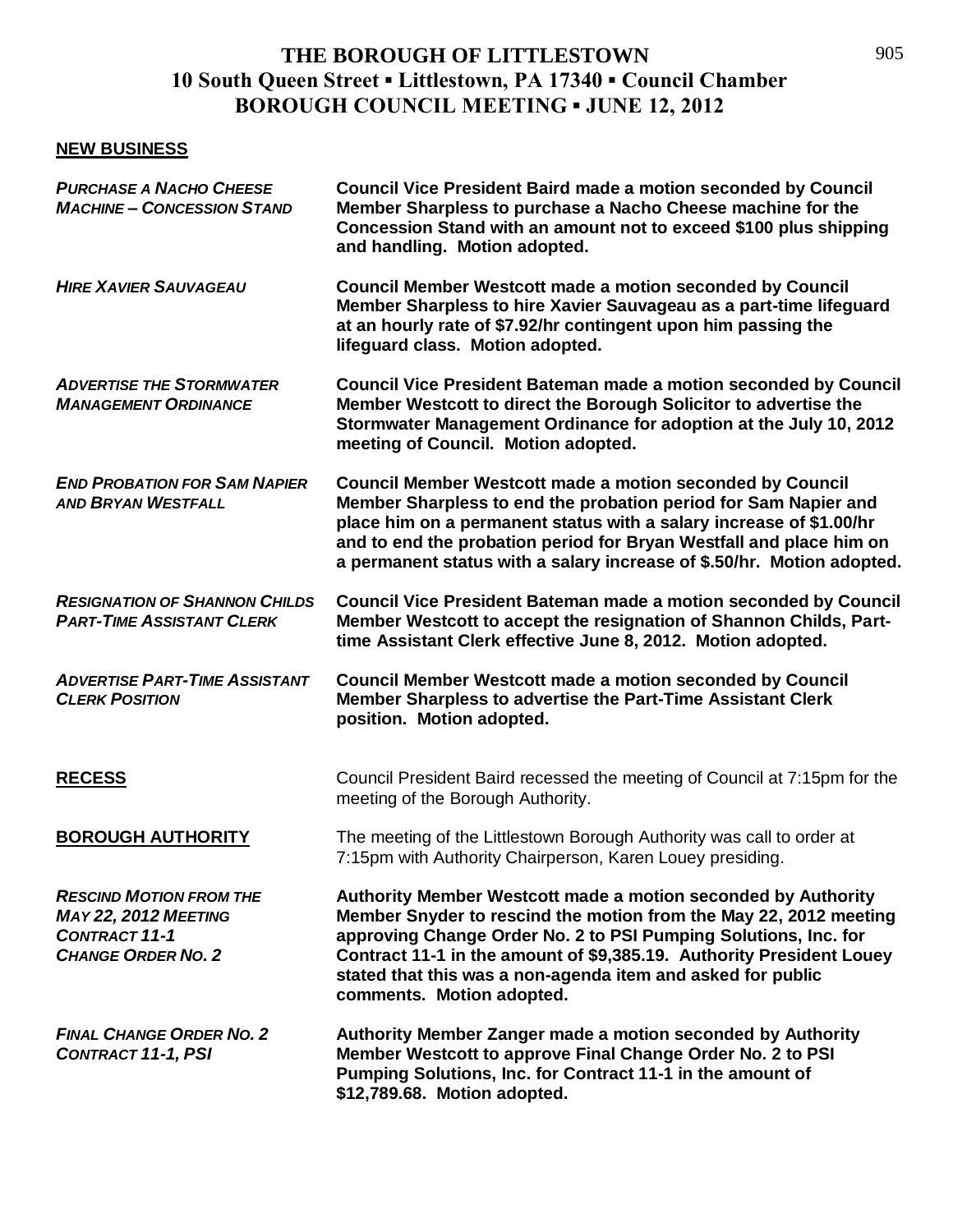#### **NEW BUSINESS**

| <b>PURCHASE A NACHO CHEESE</b><br><b>MACHINE - CONCESSION STAND</b>                                                | <b>Council Vice President Baird made a motion seconded by Council</b><br>Member Sharpless to purchase a Nacho Cheese machine for the<br>Concession Stand with an amount not to exceed \$100 plus shipping<br>and handling. Motion adopted.                                                                                                                                |
|--------------------------------------------------------------------------------------------------------------------|---------------------------------------------------------------------------------------------------------------------------------------------------------------------------------------------------------------------------------------------------------------------------------------------------------------------------------------------------------------------------|
| <b>HIRE XAVIER SAUVAGEAU</b>                                                                                       | <b>Council Member Westcott made a motion seconded by Council</b><br>Member Sharpless to hire Xavier Sauvageau as a part-time lifeguard<br>at an hourly rate of \$7.92/hr contingent upon him passing the<br>lifeguard class. Motion adopted.                                                                                                                              |
| <b>ADVERTISE THE STORMWATER</b><br><b>MANAGEMENT ORDINANCE</b>                                                     | <b>Council Vice President Bateman made a motion seconded by Council</b><br>Member Westcott to direct the Borough Solicitor to advertise the<br>Stormwater Management Ordinance for adoption at the July 10, 2012<br>meeting of Council. Motion adopted.                                                                                                                   |
| <b>END PROBATION FOR SAM NAPIER</b><br><b>AND BRYAN WESTFALL</b>                                                   | <b>Council Member Westcott made a motion seconded by Council</b><br>Member Sharpless to end the probation period for Sam Napier and<br>place him on a permanent status with a salary increase of \$1.00/hr<br>and to end the probation period for Bryan Westfall and place him on<br>a permanent status with a salary increase of \$.50/hr. Motion adopted.               |
| <b>RESIGNATION OF SHANNON CHILDS</b><br><b>PART-TIME ASSISTANT CLERK</b>                                           | <b>Council Vice President Bateman made a motion seconded by Council</b><br>Member Westcott to accept the resignation of Shannon Childs, Part-<br>time Assistant Clerk effective June 8, 2012. Motion adopted.                                                                                                                                                             |
| <b>ADVERTISE PART-TIME ASSISTANT</b><br><b>CLERK POSITION</b>                                                      | <b>Council Member Westcott made a motion seconded by Council</b><br>Member Sharpless to advertise the Part-Time Assistant Clerk<br>position. Motion adopted.                                                                                                                                                                                                              |
| <b>RECESS</b>                                                                                                      | Council President Baird recessed the meeting of Council at 7:15pm for the<br>meeting of the Borough Authority.                                                                                                                                                                                                                                                            |
| <b>BOROUGH AUTHORITY</b>                                                                                           | The meeting of the Littlestown Borough Authority was call to order at<br>7:15pm with Authority Chairperson, Karen Louey presiding.                                                                                                                                                                                                                                        |
| <b>RESCIND MOTION FROM THE</b><br><b>MAY 22, 2012 MEETING</b><br><b>CONTRACT 11-1</b><br><b>CHANGE ORDER NO. 2</b> | Authority Member Westcott made a motion seconded by Authority<br>Member Snyder to rescind the motion from the May 22, 2012 meeting<br>approving Change Order No. 2 to PSI Pumping Solutions, Inc. for<br>Contract 11-1 in the amount of \$9,385.19. Authority President Louey<br>stated that this was a non-agenda item and asked for public<br>comments. Motion adopted. |
| <b>FINAL CHANGE ORDER NO. 2</b><br><b>CONTRACT 11-1, PSI</b>                                                       | Authority Member Zanger made a motion seconded by Authority<br>Member Westcott to approve Final Change Order No. 2 to PSI<br>Pumping Solutions, Inc. for Contract 11-1 in the amount of<br>\$12,789.68. Motion adopted.                                                                                                                                                   |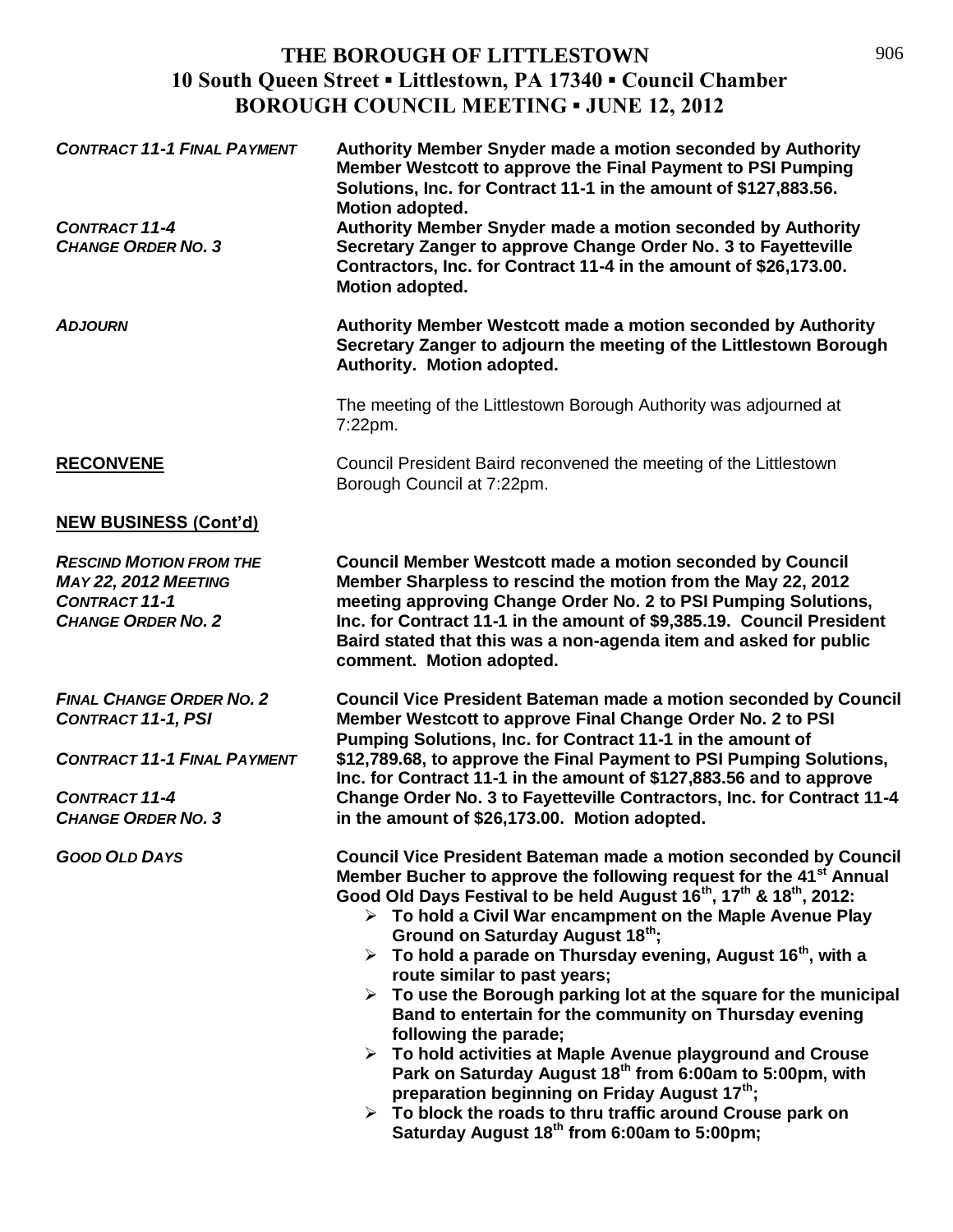| <b>CONTRACT 11-1 FINAL PAYMENT</b><br><b>CONTRACT 11-4</b><br><b>CHANGE ORDER NO. 3</b>                                                                 | Authority Member Snyder made a motion seconded by Authority<br>Member Westcott to approve the Final Payment to PSI Pumping<br>Solutions, Inc. for Contract 11-1 in the amount of \$127,883.56.<br>Motion adopted.<br>Authority Member Snyder made a motion seconded by Authority<br>Secretary Zanger to approve Change Order No. 3 to Fayetteville<br>Contractors, Inc. for Contract 11-4 in the amount of \$26,173.00.<br>Motion adopted.                                                                                                                                                                                                                                                                                                                                                                                                                                                                                                                                                                                                      |
|---------------------------------------------------------------------------------------------------------------------------------------------------------|-------------------------------------------------------------------------------------------------------------------------------------------------------------------------------------------------------------------------------------------------------------------------------------------------------------------------------------------------------------------------------------------------------------------------------------------------------------------------------------------------------------------------------------------------------------------------------------------------------------------------------------------------------------------------------------------------------------------------------------------------------------------------------------------------------------------------------------------------------------------------------------------------------------------------------------------------------------------------------------------------------------------------------------------------|
| <b>ADJOURN</b>                                                                                                                                          | Authority Member Westcott made a motion seconded by Authority<br>Secretary Zanger to adjourn the meeting of the Littlestown Borough<br>Authority. Motion adopted.                                                                                                                                                                                                                                                                                                                                                                                                                                                                                                                                                                                                                                                                                                                                                                                                                                                                               |
|                                                                                                                                                         | The meeting of the Littlestown Borough Authority was adjourned at<br>7:22pm.                                                                                                                                                                                                                                                                                                                                                                                                                                                                                                                                                                                                                                                                                                                                                                                                                                                                                                                                                                    |
| <b>RECONVENE</b>                                                                                                                                        | Council President Baird reconvened the meeting of the Littlestown<br>Borough Council at 7:22pm.                                                                                                                                                                                                                                                                                                                                                                                                                                                                                                                                                                                                                                                                                                                                                                                                                                                                                                                                                 |
| <b>NEW BUSINESS (Cont'd)</b>                                                                                                                            |                                                                                                                                                                                                                                                                                                                                                                                                                                                                                                                                                                                                                                                                                                                                                                                                                                                                                                                                                                                                                                                 |
| <b>RESCIND MOTION FROM THE</b><br><b>MAY 22, 2012 MEETING</b><br><b>CONTRACT 11-1</b><br><b>CHANGE ORDER NO. 2</b>                                      | <b>Council Member Westcott made a motion seconded by Council</b><br>Member Sharpless to rescind the motion from the May 22, 2012<br>meeting approving Change Order No. 2 to PSI Pumping Solutions,<br>Inc. for Contract 11-1 in the amount of \$9,385.19. Council President<br>Baird stated that this was a non-agenda item and asked for public<br>comment. Motion adopted.                                                                                                                                                                                                                                                                                                                                                                                                                                                                                                                                                                                                                                                                    |
| <b>FINAL CHANGE ORDER NO. 2</b><br><b>CONTRACT 11-1, PSI</b><br><b>CONTRACT 11-1 FINAL PAYMENT</b><br><b>CONTRACT 11-4</b><br><b>CHANGE ORDER NO. 3</b> | <b>Council Vice President Bateman made a motion seconded by Council</b><br>Member Westcott to approve Final Change Order No. 2 to PSI<br>Pumping Solutions, Inc. for Contract 11-1 in the amount of<br>\$12,789.68, to approve the Final Payment to PSI Pumping Solutions,<br>Inc. for Contract 11-1 in the amount of \$127,883.56 and to approve<br>Change Order No. 3 to Fayetteville Contractors, Inc. for Contract 11-4<br>in the amount of \$26,173.00. Motion adopted.                                                                                                                                                                                                                                                                                                                                                                                                                                                                                                                                                                    |
| <b>GOOD OLD DAYS</b>                                                                                                                                    | <b>Council Vice President Bateman made a motion seconded by Council</b><br>Member Bucher to approve the following request for the 41 <sup>st</sup> Annual<br>Good Old Days Festival to be held August 16 <sup>th</sup> , 17 <sup>th</sup> & 18 <sup>th</sup> , 2012:<br>$\triangleright$ To hold a Civil War encampment on the Maple Avenue Play<br>Ground on Saturday August 18th;<br>$\triangleright$ To hold a parade on Thursday evening, August 16 <sup>th</sup> , with a<br>route similar to past years;<br>$\triangleright$ To use the Borough parking lot at the square for the municipal<br>Band to entertain for the community on Thursday evening<br>following the parade;<br>$\triangleright$ To hold activities at Maple Avenue playground and Crouse<br>Park on Saturday August 18 <sup>th</sup> from 6:00am to 5:00pm, with<br>preparation beginning on Friday August 17 <sup>th</sup> ;<br>$\triangleright$ To block the roads to thru traffic around Crouse park on<br>Saturday August 18 <sup>th</sup> from 6:00am to 5:00pm; |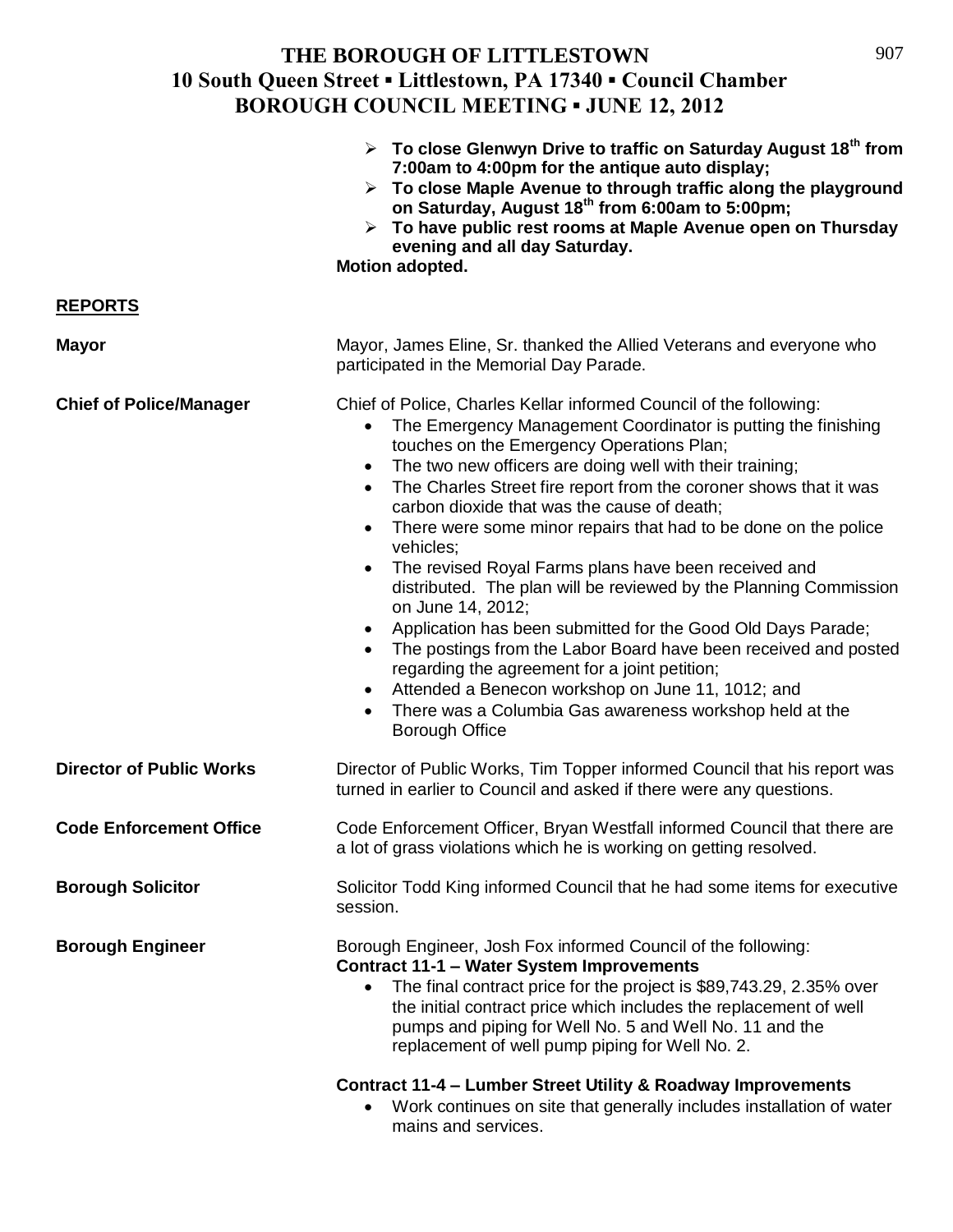|                                 | $\triangleright$ To close Glenwyn Drive to traffic on Saturday August 18 <sup>th</sup> from<br>7:00am to 4:00pm for the antique auto display;<br>$\triangleright$ To close Maple Avenue to through traffic along the playground<br>on Saturday, August 18 <sup>th</sup> from 6:00am to 5:00pm;<br>$\triangleright$ To have public rest rooms at Maple Avenue open on Thursday<br>evening and all day Saturday.<br>Motion adopted.                                                                                                                                                                                                                                                                                                                                                                                                                                                                                                                                                   |
|---------------------------------|-------------------------------------------------------------------------------------------------------------------------------------------------------------------------------------------------------------------------------------------------------------------------------------------------------------------------------------------------------------------------------------------------------------------------------------------------------------------------------------------------------------------------------------------------------------------------------------------------------------------------------------------------------------------------------------------------------------------------------------------------------------------------------------------------------------------------------------------------------------------------------------------------------------------------------------------------------------------------------------|
| <b>REPORTS</b>                  |                                                                                                                                                                                                                                                                                                                                                                                                                                                                                                                                                                                                                                                                                                                                                                                                                                                                                                                                                                                     |
| <b>Mayor</b>                    | Mayor, James Eline, Sr. thanked the Allied Veterans and everyone who<br>participated in the Memorial Day Parade.                                                                                                                                                                                                                                                                                                                                                                                                                                                                                                                                                                                                                                                                                                                                                                                                                                                                    |
| <b>Chief of Police/Manager</b>  | Chief of Police, Charles Kellar informed Council of the following:<br>The Emergency Management Coordinator is putting the finishing<br>touches on the Emergency Operations Plan;<br>The two new officers are doing well with their training;<br>$\bullet$<br>The Charles Street fire report from the coroner shows that it was<br>$\bullet$<br>carbon dioxide that was the cause of death;<br>There were some minor repairs that had to be done on the police<br>vehicles;<br>The revised Royal Farms plans have been received and<br>$\bullet$<br>distributed. The plan will be reviewed by the Planning Commission<br>on June 14, 2012;<br>Application has been submitted for the Good Old Days Parade;<br>The postings from the Labor Board have been received and posted<br>regarding the agreement for a joint petition;<br>Attended a Benecon workshop on June 11, 1012; and<br>$\bullet$<br>There was a Columbia Gas awareness workshop held at the<br><b>Borough Office</b> |
| <b>Director of Public Works</b> | Director of Public Works, Tim Topper informed Council that his report was<br>turned in earlier to Council and asked if there were any questions.                                                                                                                                                                                                                                                                                                                                                                                                                                                                                                                                                                                                                                                                                                                                                                                                                                    |
| <b>Code Enforcement Office</b>  | Code Enforcement Officer, Bryan Westfall informed Council that there are<br>a lot of grass violations which he is working on getting resolved.                                                                                                                                                                                                                                                                                                                                                                                                                                                                                                                                                                                                                                                                                                                                                                                                                                      |
| <b>Borough Solicitor</b>        | Solicitor Todd King informed Council that he had some items for executive<br>session.                                                                                                                                                                                                                                                                                                                                                                                                                                                                                                                                                                                                                                                                                                                                                                                                                                                                                               |
| <b>Borough Engineer</b>         | Borough Engineer, Josh Fox informed Council of the following:<br><b>Contract 11-1 - Water System Improvements</b><br>The final contract price for the project is \$89,743.29, 2.35% over<br>$\bullet$<br>the initial contract price which includes the replacement of well<br>pumps and piping for Well No. 5 and Well No. 11 and the<br>replacement of well pump piping for Well No. 2.<br>Contract 11-4 - Lumber Street Utility & Roadway Improvements<br>Work continues on site that generally includes installation of water<br>mains and services.                                                                                                                                                                                                                                                                                                                                                                                                                             |